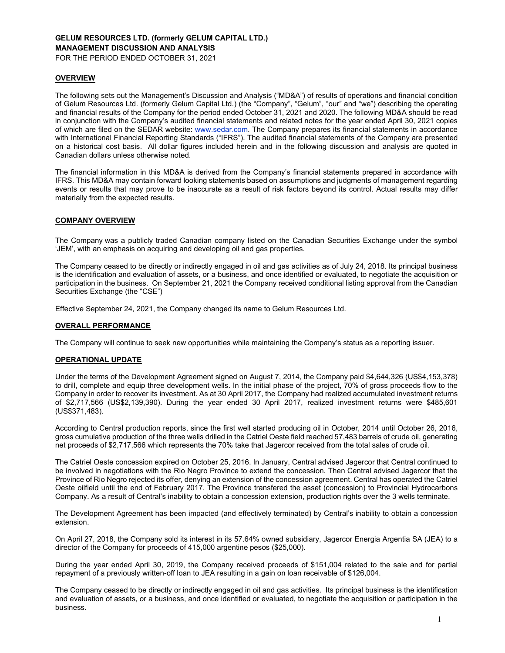# **GELUM RESOURCES LTD. (formerly GELUM CAPITAL LTD.) MANAGEMENT DISCUSSION AND ANALYSIS**

FOR THE PERIOD ENDED OCTOBER 31, 2021

### **OVERVIEW**

The following sets out the Management's Discussion and Analysis ("MD&A") of results of operations and financial condition of Gelum Resources Ltd. (formerly Gelum Capital Ltd.) (the "Company", "Gelum", "our" and "we") describing the operating and financial results of the Company for the period ended October 31, 2021 and 2020. The following MD&A should be read in conjunction with the Company's audited financial statements and related notes for the year ended April 30, 2021 copies of which are filed on the SEDAR website: www.sedar.com. The Company prepares its financial statements in accordance with International Financial Reporting Standards ("IFRS"). The audited financial statements of the Company are presented on a historical cost basis. All dollar figures included herein and in the following discussion and analysis are quoted in Canadian dollars unless otherwise noted.

The financial information in this MD&A is derived from the Company's financial statements prepared in accordance with IFRS. This MD&A may contain forward looking statements based on assumptions and judgments of management regarding events or results that may prove to be inaccurate as a result of risk factors beyond its control. Actual results may differ materially from the expected results.

# **COMPANY OVERVIEW**

The Company was a publicly traded Canadian company listed on the Canadian Securities Exchange under the symbol 'JEM', with an emphasis on acquiring and developing oil and gas properties.

The Company ceased to be directly or indirectly engaged in oil and gas activities as of July 24, 2018. Its principal business is the identification and evaluation of assets, or a business, and once identified or evaluated, to negotiate the acquisition or participation in the business. On September 21, 2021 the Company received conditional listing approval from the Canadian Securities Exchange (the "CSE")

Effective September 24, 2021, the Company changed its name to Gelum Resources Ltd.

### **OVERALL PERFORMANCE**

The Company will continue to seek new opportunities while maintaining the Company's status as a reporting issuer.

### **OPERATIONAL UPDATE**

Under the terms of the Development Agreement signed on August 7, 2014, the Company paid \$4,644,326 (US\$4,153,378) to drill, complete and equip three development wells. In the initial phase of the project, 70% of gross proceeds flow to the Company in order to recover its investment. As at 30 April 2017, the Company had realized accumulated investment returns of \$2,717,566 (US\$2,139,390). During the year ended 30 April 2017, realized investment returns were \$485,601 (US\$371,483).

According to Central production reports, since the first well started producing oil in October, 2014 until October 26, 2016, gross cumulative production of the three wells drilled in the Catriel Oeste field reached 57,483 barrels of crude oil, generating net proceeds of \$2,717,566 which represents the 70% take that Jagercor received from the total sales of crude oil.

The Catriel Oeste concession expired on October 25, 2016. In January, Central advised Jagercor that Central continued to be involved in negotiations with the Rio Negro Province to extend the concession. Then Central advised Jagercor that the Province of Rio Negro rejected its offer, denying an extension of the concession agreement. Central has operated the Catriel Oeste oilfield until the end of February 2017. The Province transfered the asset (concession) to Provincial Hydrocarbons Company. As a result of Central's inability to obtain a concession extension, production rights over the 3 wells terminate.

The Development Agreement has been impacted (and effectively terminated) by Central's inability to obtain a concession extension.

On April 27, 2018, the Company sold its interest in its 57.64% owned subsidiary, Jagercor Energia Argentia SA (JEA) to a director of the Company for proceeds of 415,000 argentine pesos (\$25,000).

During the year ended April 30, 2019, the Company received proceeds of \$151,004 related to the sale and for partial repayment of a previously written-off loan to JEA resulting in a gain on loan receivable of \$126,004.

The Company ceased to be directly or indirectly engaged in oil and gas activities. Its principal business is the identification and evaluation of assets, or a business, and once identified or evaluated, to negotiate the acquisition or participation in the business.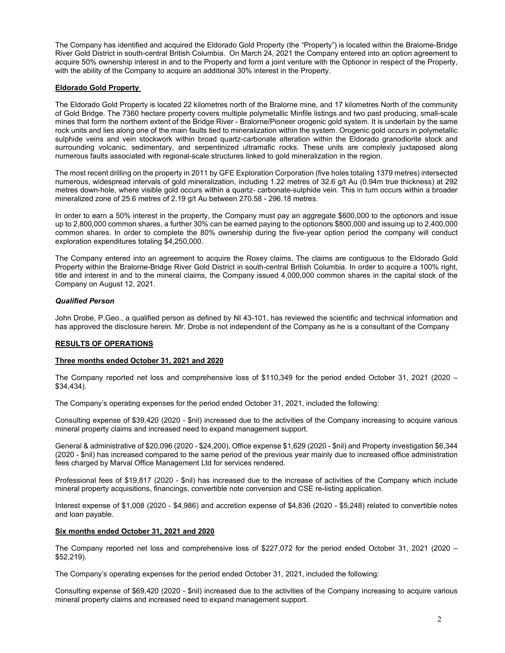The Company has identified and acquired the Eldorado Gold Property (the "Property") is located within the Bralorne-Bridge River Gold District in south-central British Columbia. On March 24, 2021 the Company entered into an option agreement to acquire 50% ownership interest in and to the Property and form a joint venture with the Optionor in respect of the Property, with the ability of the Company to acquire an additional 30% interest in the Property.

### **Eldorado Gold Property**

The Eldorado Gold Property is located 22 kilometres north of the Bralorne mine, and 17 kilometres North of the community of Gold Bridge. The 7360 hectare property covers multiple polymetallic Minfile listings and two past producing, small-scale mines that form the northern extent of the Bridge River - Bralorne/Pioneer orogenic gold system. It is underlain by the same rock units and lies along one of the main faults tied to mineralization within the system. Orogenic gold occurs in polymetallic sulphide veins and vein stockwork within broad quartz-carbonate alteration within the Eldorado granodiorite stock and surrounding volcanic, sedimentary, and serpentinized ultramafic rocks. These units are complexly juxtaposed along numerous faults associated with regional-scale structures linked to gold mineralization in the region.

The most recent drilling on the property in 2011 by GFE Exploration Corporation (five holes totaling 1379 metres) intersected numerous, widespread intervals of gold mineralization, including 1.22 metres of 32.6 g/t Au (0.94m true thickness) at 292 metres down-hole, where visible gold occurs within a quartz- carbonate-sulphide vein. This in turn occurs within a broader mineralized zone of 25.6 metres of 2.19 g/t Au between 270.58 - 296.18 metres.

In order to earn a 50% interest in the property, the Company must pay an aggregate \$600,000 to the optionors and issue up to 2,800,000 common shares, a further 30% can be earned paying to the optionors \$800,000 and issuing up to 2,400,000 common shares. In order to complete the 80% ownership during the five-year option period the company will conduct exploration expenditures totaling \$4,250,000.

The Company entered into an agreement to acquire the Roxey claims. The claims are contiguous to the Eldorado Gold Property within the Bralorne-Bridge River Gold District in south-central British Columbia. In order to acquire a 100% right, title and interest in and to the mineral claims, the Company issued 4,000,000 common shares in the capital stock of the Company on August 12, 2021.

### *Qualified Person*

John Drobe, P.Geo., a qualified person as defined by NI 43-101, has reviewed the scientific and technical information and has approved the disclosure herein. Mr. Drobe is not independent of the Company as he is a consultant of the Company

# **RESULTS OF OPERATIONS**

### **Three months ended October 31, 2021 and 2020**

The Company reported net loss and comprehensive loss of \$110,349 for the period ended October 31, 2021 (2020 – \$34,434).

The Company's operating expenses for the period ended October 31, 2021, included the following:

Consulting expense of \$39,420 (2020 - \$nil) increased due to the activities of the Company increasing to acquire various mineral property claims and increased need to expand management support.

General & administrative of \$20,096 (2020 - \$24,200), Office expense \$1,629 (2020 - \$nil) and Property investigation \$6,344 (2020 - \$nil) has increased compared to the same period of the previous year mainly due to increased office administration fees charged by Marval Office Management Ltd for services rendered.

Professional fees of \$19,817 (2020 - \$nil) has increased due to the increase of activities of the Company which include mineral property acquisitions, financings, convertible note conversion and CSE re-listing application.

Interest expense of \$1,008 (2020 - \$4,986) and accretion expense of \$4,836 (2020 - \$5,248) related to convertible notes and loan payable.

### **Six months ended October 31, 2021 and 2020**

The Company reported net loss and comprehensive loss of \$227,072 for the period ended October 31, 2021 (2020 – \$52,219).

The Company's operating expenses for the period ended October 31, 2021, included the following:

Consulting expense of \$69,420 (2020 - \$nil) increased due to the activities of the Company increasing to acquire various mineral property claims and increased need to expand management support.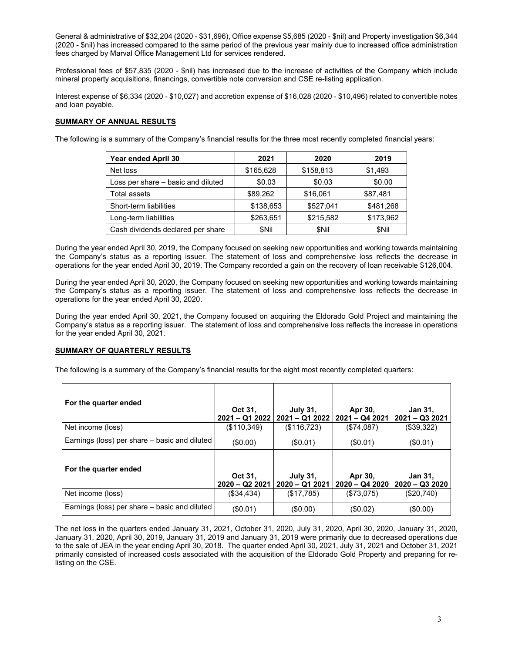General & administrative of \$32,204 (2020 - \$31,696), Office expense \$5,685 (2020 - \$nil) and Property investigation \$6,344 (2020 - \$nil) has increased compared to the same period of the previous year mainly due to increased office administration fees charged by Marval Office Management Ltd for services rendered.

Professional fees of \$57,835 (2020 - \$nil) has increased due to the increase of activities of the Company which include mineral property acquisitions, financings, convertible note conversion and CSE re-listing application.

Interest expense of \$6,334 (2020 - \$10,027) and accretion expense of \$16,028 (2020 - \$10,496) related to convertible notes and loan payable.

### **SUMMARY OF ANNUAL RESULTS**

The following is a summary of the Company's financial results for the three most recently completed financial years:

| Year ended April 30                | 2021      | 2020      | 2019      |
|------------------------------------|-----------|-----------|-----------|
| Net loss                           | \$165,628 | \$158,813 | \$1,493   |
| Loss per share – basic and diluted | \$0.03    | \$0.03    | \$0.00    |
| <b>Total assets</b>                | \$89,262  | \$16,061  | \$87,481  |
| Short-term liabilities             | \$138,653 | \$527.041 | \$481,268 |
| Long-term liabilities              | \$263,651 | \$215,582 | \$173,962 |
| Cash dividends declared per share  | \$Nil     | \$Nil     | \$Nil     |

During the year ended April 30, 2019, the Company focused on seeking new opportunities and working towards maintaining the Company's status as a reporting issuer. The statement of loss and comprehensive loss reflects the decrease in operations for the year ended April 30, 2019. The Company recorded a gain on the recovery of loan receivable \$126,004.

During the year ended April 30, 2020, the Company focused on seeking new opportunities and working towards maintaining the Company's status as a reporting issuer. The statement of loss and comprehensive loss reflects the decrease in operations for the year ended April 30, 2020.

During the year ended April 30, 2021, the Company focused on acquiring the Eldorado Gold Project and maintaining the Company's status as a reporting issuer. The statement of loss and comprehensive loss reflects the increase in operations for the year ended April 30, 2021.

### **SUMMARY OF QUARTERLY RESULTS**

The following is a summary of the Company's financial results for the eight most recently completed quarters:

| For the quarter ended                         | Oct 31,                     | <b>July 31,</b><br>2021 - Q1 2022   2021 - Q1 2022   2021 - Q4 2021 | Apr 30,                    | <b>Jan 31,</b><br>$2021 - Q32021$ |
|-----------------------------------------------|-----------------------------|---------------------------------------------------------------------|----------------------------|-----------------------------------|
| Net income (loss)                             | (\$110,349)                 | (\$116,723)                                                         | (\$74,087)                 | (\$39,322)                        |
| Earnings (loss) per share – basic and diluted | $(\$0.00)$                  | (\$0.01)                                                            | (\$0.01)                   | (\$0.01)                          |
| For the quarter ended                         | Oct 31,<br>$2020 - Q222021$ | <b>July 31,</b><br>2020 - Q1 2021                                   | Apr 30,<br>$2020 - Q42020$ | <b>Jan 31,</b><br>$2020 - Q32020$ |
| Net income (loss)                             | (\$34,434)                  | (\$17,785)                                                          | (\$73,075)                 | (\$20,740)                        |
| Earnings (loss) per share – basic and diluted | (\$0.01)                    | (\$0.00)                                                            | (\$0.02)                   | (\$0.00)                          |

The net loss in the quarters ended January 31, 2021, October 31, 2020, July 31, 2020, April 30, 2020, January 31, 2020, January 31, 2020, April 30, 2019, January 31, 2019 and January 31, 2019 were primarily due to decreased operations due to the sale of JEA in the year ending April 30, 2018. The quarter ended April 30, 2021, July 31, 2021 and October 31, 2021 primarily consisted of increased costs associated with the acquisition of the Eldorado Gold Property and preparing for relisting on the CSE.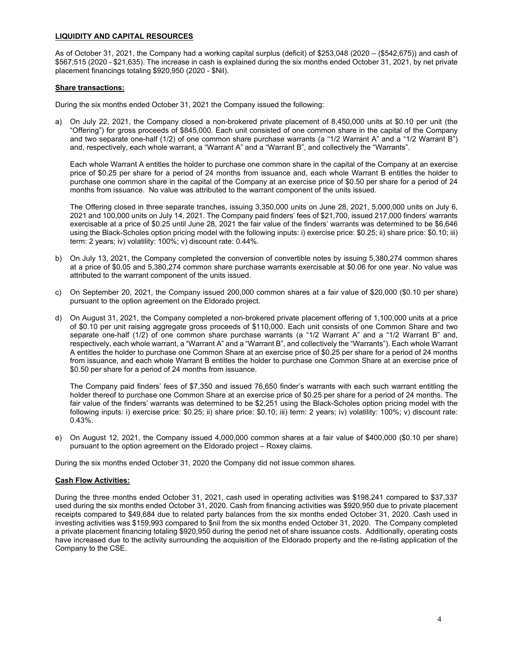# **LIQUIDITY AND CAPITAL RESOURCES**

As of October 31, 2021, the Company had a working capital surplus (deficit) of \$253,048 (2020 – (\$542,675)) and cash of \$567,515 (2020 - \$21,635). The increase in cash is explained during the six months ended October 31, 2021, by net private placement financings totaling \$920,950 (2020 - \$Nil).

### **Share transactions:**

During the six months ended October 31, 2021 the Company issued the following:

a) On July 22, 2021, the Company closed a non-brokered private placement of 8,450,000 units at \$0.10 per unit (the "Offering") for gross proceeds of \$845,000. Each unit consisted of one common share in the capital of the Company and two separate one-half (1/2) of one common share purchase warrants (a "1/2 Warrant A" and a "1/2 Warrant B") and, respectively, each whole warrant, a "Warrant A" and a "Warrant B", and collectively the "Warrants".

Each whole Warrant A entitles the holder to purchase one common share in the capital of the Company at an exercise price of \$0.25 per share for a period of 24 months from issuance and, each whole Warrant B entitles the holder to purchase one common share in the capital of the Company at an exercise price of \$0.50 per share for a period of 24 months from issuance. No value was attributed to the warrant component of the units issued.

The Offering closed in three separate tranches, issuing 3,350,000 units on June 28, 2021, 5,000,000 units on July 6, 2021 and 100,000 units on July 14, 2021. The Company paid finders' fees of \$21,700, issued 217,000 finders' warrants exercisable at a price of \$0.25 until June 28, 2021 the fair value of the finders' warrants was determined to be \$6,646 using the Black-Scholes option pricing model with the following inputs: i) exercise price: \$0.25; ii) share price: \$0.10; iii) term: 2 years; iv) volatility: 100%; v) discount rate: 0.44%.

- b) On July 13, 2021, the Company completed the conversion of convertible notes by issuing 5,380,274 common shares at a price of \$0.05 and 5,380,274 common share purchase warrants exercisable at \$0.06 for one year. No value was attributed to the warrant component of the units issued.
- c) On September 20, 2021, the Company issued 200,000 common shares at a fair value of \$20,000 (\$0.10 per share) pursuant to the option agreement on the Eldorado project.
- d) On August 31, 2021, the Company completed a non-brokered private placement offering of 1,100,000 units at a price of \$0.10 per unit raising aggregate gross proceeds of \$110,000. Each unit consists of one Common Share and two separate one-half (1/2) of one common share purchase warrants (a "1/2 Warrant A" and a "1/2 Warrant B" and, respectively, each whole warrant, a "Warrant A" and a "Warrant B", and collectively the "Warrants"). Each whole Warrant A entitles the holder to purchase one Common Share at an exercise price of \$0.25 per share for a period of 24 months from issuance, and each whole Warrant B entitles the holder to purchase one Common Share at an exercise price of \$0.50 per share for a period of 24 months from issuance.

The Company paid finders' fees of \$7,350 and issued 76,650 finder's warrants with each such warrant entitling the holder thereof to purchase one Common Share at an exercise price of \$0.25 per share for a period of 24 months. The fair value of the finders' warrants was determined to be \$2,251 using the Black-Scholes option pricing model with the following inputs: i) exercise price: \$0.25; ii) share price: \$0.10; iii) term: 2 years; iv) volatility: 100%; v) discount rate: 0.43%.

e) On August 12, 2021, the Company issued 4,000,000 common shares at a fair value of \$400,000 (\$0.10 per share) pursuant to the option agreement on the Eldorado project – Roxey claims.

During the six months ended October 31, 2020 the Company did not issue common shares.

### **Cash Flow Activities:**

During the three months ended October 31, 2021, cash used in operating activities was \$198,241 compared to \$37,337 used during the six months ended October 31, 2020. Cash from financing activities was \$920,950 due to private placement receipts compared to \$49,684 due to related party balances from the six months ended October 31, 2020. Cash used in investing activities was \$159,993 compared to \$nil from the six months ended October 31, 2020. The Company completed a private placement financing totaling \$920,950 during the period net of share issuance costs. Additionally, operating costs have increased due to the activity surrounding the acquisition of the Eldorado property and the re-listing application of the Company to the CSE.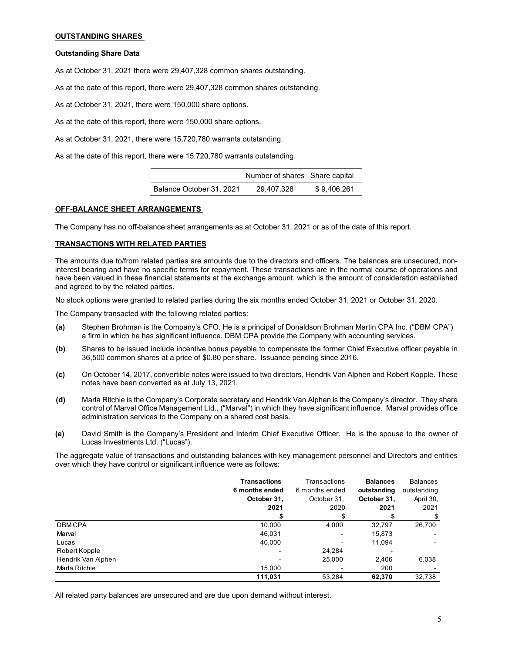# **OUTSTANDING SHARES**

### **Outstanding Share Data**

As at October 31, 2021 there were 29,407,328 common shares outstanding.

As at the date of this report, there were 29,407,328 common shares outstanding.

As at October 31, 2021, there were 150,000 share options.

As at the date of this report, there were 150,000 share options.

As at October 31, 2021, there were 15,720,780 warrants outstanding.

As at the date of this report, there were 15,720,780 warrants outstanding.

|                          | Number of shares Share capital |             |
|--------------------------|--------------------------------|-------------|
| Balance October 31, 2021 | 29.407.328                     | \$9.406.261 |

### **OFF-BALANCE SHEET ARRANGEMENTS**

The Company has no off-balance sheet arrangements as at October 31, 2021 or as of the date of this report.

### **TRANSACTIONS WITH RELATED PARTIES**

The amounts due to/from related parties are amounts due to the directors and officers. The balances are unsecured, noninterest bearing and have no specific terms for repayment. These transactions are in the normal course of operations and have been valued in these financial statements at the exchange amount, which is the amount of consideration established and agreed to by the related parties.

No stock options were granted to related parties during the six months ended October 31, 2021 or October 31, 2020.

The Company transacted with the following related parties:

- **(a)** Stephen Brohman is the Company's CFO. He is a principal of Donaldson Brohman Martin CPA Inc. ("DBM CPA") a firm in which he has significant influence. DBM CPA provide the Company with accounting services.
- **(b)** Shares to be issued include incentive bonus payable to compensate the former Chief Executive officer payable in 36,500 common shares at a price of \$0.80 per share. Issuance pending since 2016.
- **(c)** On October 14, 2017, convertible notes were issued to two directors, Hendrik Van Alphen and Robert Kopple. These notes have been converted as at July 13, 2021.
- **(d)** Marla Ritchie is the Company's Corporate secretary and Hendrik Van Alphen is the Company's director. They share control of Marval Office Management Ltd., ("Marval") in which they have significant influence. Marval provides office administration services to the Company on a shared cost basis.
- **(e)** David Smith is the Company's President and Interim Chief Executive Officer. He is the spouse to the owner of Lucas Investments Ltd. ("Lucas").

The aggregate value of transactions and outstanding balances with key management personnel and Directors and entities over which they have control or significant influence were as follows:

|                    | <b>Transactions</b> | Transactions   | <b>Balances</b> | <b>Balances</b> |
|--------------------|---------------------|----------------|-----------------|-----------------|
|                    | 6 months ended      | 6 months ended | outstanding     | outstanding     |
|                    | October 31,         | October 31,    | October 31,     | April 30,       |
|                    | 2021                | 2020           | 2021            | 2021            |
|                    |                     |                |                 |                 |
| <b>DBMCPA</b>      | 10,000              | 4,000          | 32,797          | 26,700          |
| Marval             | 46.031              | -              | 15,873          |                 |
| Lucas              | 40,000              |                | 11,094          |                 |
| Robert Kopple      |                     | 24,284         |                 |                 |
| Hendrik Van Alphen | $\blacksquare$      | 25,000         | 2.406           | 6,038           |
| Marla Ritchie      | 15,000              |                | 200             |                 |
|                    | 111.031             | 53.284         | 62,370          | 32,738          |

All related party balances are unsecured and are due upon demand without interest.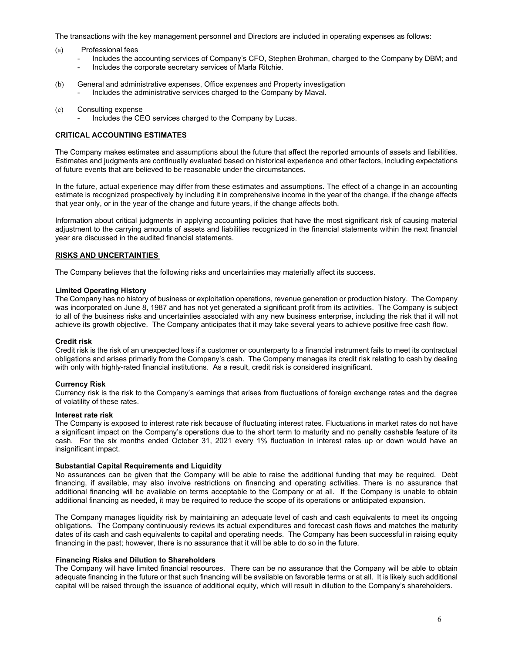The transactions with the key management personnel and Directors are included in operating expenses as follows:

- (a) Professional fees
	- Includes the accounting services of Company's CFO, Stephen Brohman, charged to the Company by DBM; and
	- Includes the corporate secretary services of Marla Ritchie.
- (b) General and administrative expenses, Office expenses and Property investigation - Includes the administrative services charged to the Company by Maval.
- (c) Consulting expense
	- Includes the CEO services charged to the Company by Lucas.

### **CRITICAL ACCOUNTING ESTIMATES**

The Company makes estimates and assumptions about the future that affect the reported amounts of assets and liabilities. Estimates and judgments are continually evaluated based on historical experience and other factors, including expectations of future events that are believed to be reasonable under the circumstances.

In the future, actual experience may differ from these estimates and assumptions. The effect of a change in an accounting estimate is recognized prospectively by including it in comprehensive income in the year of the change, if the change affects that year only, or in the year of the change and future years, if the change affects both.

Information about critical judgments in applying accounting policies that have the most significant risk of causing material adjustment to the carrying amounts of assets and liabilities recognized in the financial statements within the next financial year are discussed in the audited financial statements.

# **RISKS AND UNCERTAINTIES**

The Company believes that the following risks and uncertainties may materially affect its success.

### **Limited Operating History**

The Company has no history of business or exploitation operations, revenue generation or production history. The Company was incorporated on June 8, 1987 and has not yet generated a significant profit from its activities. The Company is subject to all of the business risks and uncertainties associated with any new business enterprise, including the risk that it will not achieve its growth objective. The Company anticipates that it may take several years to achieve positive free cash flow.

#### **Credit risk**

Credit risk is the risk of an unexpected loss if a customer or counterparty to a financial instrument fails to meet its contractual obligations and arises primarily from the Company's cash. The Company manages its credit risk relating to cash by dealing with only with highly-rated financial institutions. As a result, credit risk is considered insignificant.

#### **Currency Risk**

Currency risk is the risk to the Company's earnings that arises from fluctuations of foreign exchange rates and the degree of volatility of these rates.

#### **Interest rate risk**

The Company is exposed to interest rate risk because of fluctuating interest rates. Fluctuations in market rates do not have a significant impact on the Company's operations due to the short term to maturity and no penalty cashable feature of its cash. For the six months ended October 31, 2021 every 1% fluctuation in interest rates up or down would have an insignificant impact.

#### **Substantial Capital Requirements and Liquidity**

No assurances can be given that the Company will be able to raise the additional funding that may be required. Debt financing, if available, may also involve restrictions on financing and operating activities. There is no assurance that additional financing will be available on terms acceptable to the Company or at all. If the Company is unable to obtain additional financing as needed, it may be required to reduce the scope of its operations or anticipated expansion.

The Company manages liquidity risk by maintaining an adequate level of cash and cash equivalents to meet its ongoing obligations. The Company continuously reviews its actual expenditures and forecast cash flows and matches the maturity dates of its cash and cash equivalents to capital and operating needs. The Company has been successful in raising equity financing in the past; however, there is no assurance that it will be able to do so in the future.

### **Financing Risks and Dilution to Shareholders**

The Company will have limited financial resources. There can be no assurance that the Company will be able to obtain adequate financing in the future or that such financing will be available on favorable terms or at all. It is likely such additional capital will be raised through the issuance of additional equity, which will result in dilution to the Company's shareholders.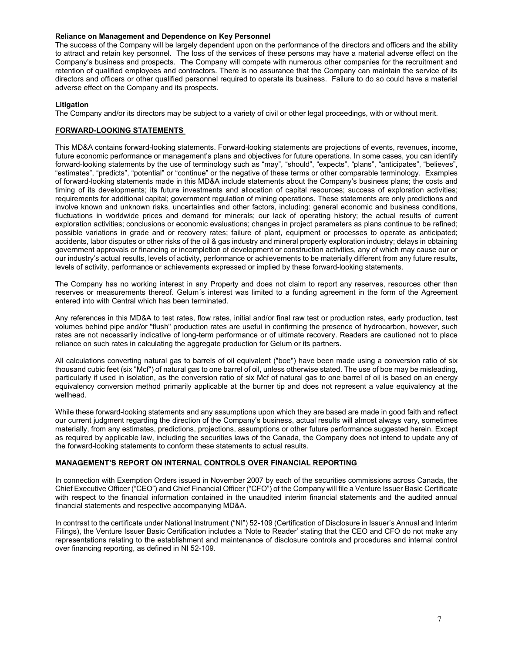### **Reliance on Management and Dependence on Key Personnel**

The success of the Company will be largely dependent upon on the performance of the directors and officers and the ability to attract and retain key personnel. The loss of the services of these persons may have a material adverse effect on the Company's business and prospects. The Company will compete with numerous other companies for the recruitment and retention of qualified employees and contractors. There is no assurance that the Company can maintain the service of its directors and officers or other qualified personnel required to operate its business. Failure to do so could have a material adverse effect on the Company and its prospects.

# **Litigation**

The Company and/or its directors may be subject to a variety of civil or other legal proceedings, with or without merit.

### **FORWARD-LOOKING STATEMENTS**

This MD&A contains forward-looking statements. Forward-looking statements are projections of events, revenues, income, future economic performance or management's plans and objectives for future operations. In some cases, you can identify forward-looking statements by the use of terminology such as "may", "should", "expects", "plans", "anticipates", "believes", "estimates", "predicts", "potential" or "continue" or the negative of these terms or other comparable terminology. Examples of forward-looking statements made in this MD&A include statements about the Company's business plans; the costs and timing of its developments; its future investments and allocation of capital resources; success of exploration activities; requirements for additional capital; government regulation of mining operations. These statements are only predictions and involve known and unknown risks, uncertainties and other factors, including: general economic and business conditions, fluctuations in worldwide prices and demand for minerals; our lack of operating history; the actual results of current exploration activities; conclusions or economic evaluations; changes in project parameters as plans continue to be refined; possible variations in grade and or recovery rates; failure of plant, equipment or processes to operate as anticipated; accidents, labor disputes or other risks of the oil & gas industry and mineral property exploration industry; delays in obtaining government approvals or financing or incompletion of development or construction activities, any of which may cause our or our industry's actual results, levels of activity, performance or achievements to be materially different from any future results, levels of activity, performance or achievements expressed or implied by these forward-looking statements.

The Company has no working interest in any Property and does not claim to report any reserves, resources other than reserves or measurements thereof. Gelum´s interest was limited to a funding agreement in the form of the Agreement entered into with Central which has been terminated.

Any references in this MD&A to test rates, flow rates, initial and/or final raw test or production rates, early production, test volumes behind pipe and/or "flush" production rates are useful in confirming the presence of hydrocarbon, however, such rates are not necessarily indicative of long-term performance or of ultimate recovery. Readers are cautioned not to place reliance on such rates in calculating the aggregate production for Gelum or its partners.

All calculations converting natural gas to barrels of oil equivalent ("boe") have been made using a conversion ratio of six thousand cubic feet (six "Mcf") of natural gas to one barrel of oil, unless otherwise stated. The use of boe may be misleading, particularly if used in isolation, as the conversion ratio of six Mcf of natural gas to one barrel of oil is based on an energy equivalency conversion method primarily applicable at the burner tip and does not represent a value equivalency at the wellhead.

While these forward-looking statements and any assumptions upon which they are based are made in good faith and reflect our current judgment regarding the direction of the Company's business, actual results will almost always vary, sometimes materially, from any estimates, predictions, projections, assumptions or other future performance suggested herein. Except as required by applicable law, including the securities laws of the Canada, the Company does not intend to update any of the forward-looking statements to conform these statements to actual results.

### **MANAGEMENT'S REPORT ON INTERNAL CONTROLS OVER FINANCIAL REPORTING**

In connection with Exemption Orders issued in November 2007 by each of the securities commissions across Canada, the Chief Executive Officer ("CEO") and Chief Financial Officer ("CFO") of the Company will file a Venture Issuer Basic Certificate with respect to the financial information contained in the unaudited interim financial statements and the audited annual financial statements and respective accompanying MD&A.

In contrast to the certificate under National Instrument ("NI") 52-109 (Certification of Disclosure in Issuer's Annual and Interim Filings), the Venture Issuer Basic Certification includes a 'Note to Reader' stating that the CEO and CFO do not make any representations relating to the establishment and maintenance of disclosure controls and procedures and internal control over financing reporting, as defined in NI 52-109.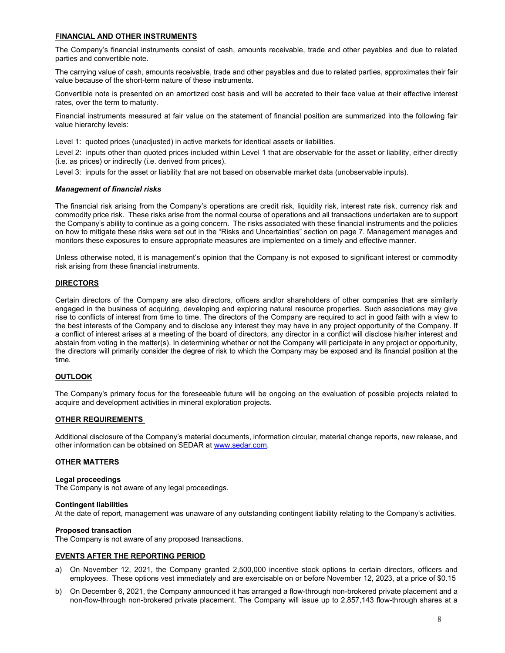# **FINANCIAL AND OTHER INSTRUMENTS**

The Company's financial instruments consist of cash, amounts receivable, trade and other payables and due to related parties and convertible note.

The carrying value of cash, amounts receivable, trade and other payables and due to related parties, approximates their fair value because of the short-term nature of these instruments.

Convertible note is presented on an amortized cost basis and will be accreted to their face value at their effective interest rates, over the term to maturity.

Financial instruments measured at fair value on the statement of financial position are summarized into the following fair value hierarchy levels:

Level 1: quoted prices (unadjusted) in active markets for identical assets or liabilities.

Level 2: inputs other than quoted prices included within Level 1 that are observable for the asset or liability, either directly (i.e. as prices) or indirectly (i.e. derived from prices).

Level 3: inputs for the asset or liability that are not based on observable market data (unobservable inputs).

### *Management of financial risks*

The financial risk arising from the Company's operations are credit risk, liquidity risk, interest rate risk, currency risk and commodity price risk. These risks arise from the normal course of operations and all transactions undertaken are to support the Company's ability to continue as a going concern. The risks associated with these financial instruments and the policies on how to mitigate these risks were set out in the "Risks and Uncertainties" section on page 7. Management manages and monitors these exposures to ensure appropriate measures are implemented on a timely and effective manner.

Unless otherwise noted, it is management's opinion that the Company is not exposed to significant interest or commodity risk arising from these financial instruments.

### **DIRECTORS**

Certain directors of the Company are also directors, officers and/or shareholders of other companies that are similarly engaged in the business of acquiring, developing and exploring natural resource properties. Such associations may give rise to conflicts of interest from time to time. The directors of the Company are required to act in good faith with a view to the best interests of the Company and to disclose any interest they may have in any project opportunity of the Company. If a conflict of interest arises at a meeting of the board of directors, any director in a conflict will disclose his/her interest and abstain from voting in the matter(s). In determining whether or not the Company will participate in any project or opportunity, the directors will primarily consider the degree of risk to which the Company may be exposed and its financial position at the time.

### **OUTLOOK**

The Company's primary focus for the foreseeable future will be ongoing on the evaluation of possible projects related to acquire and development activities in mineral exploration projects.

### **OTHER REQUIREMENTS**

Additional disclosure of the Company's material documents, information circular, material change reports, new release, and other information can be obtained on SEDAR a[t www.sedar.com.](http://www.sedar.com/)

# **OTHER MATTERS**

#### **Legal proceedings**

The Company is not aware of any legal proceedings.

#### **Contingent liabilities**

At the date of report, management was unaware of any outstanding contingent liability relating to the Company's activities.

#### **Proposed transaction**

The Company is not aware of any proposed transactions.

### **EVENTS AFTER THE REPORTING PERIOD**

- a) On November 12, 2021, the Company granted 2,500,000 incentive stock options to certain directors, officers and employees. These options vest immediately and are exercisable on or before November 12, 2023, at a price of \$0.15
- b) On December 6, 2021, the Company announced it has arranged a flow-through non-brokered private placement and a non-flow-through non-brokered private placement. The Company will issue up to 2,857,143 flow-through shares at a